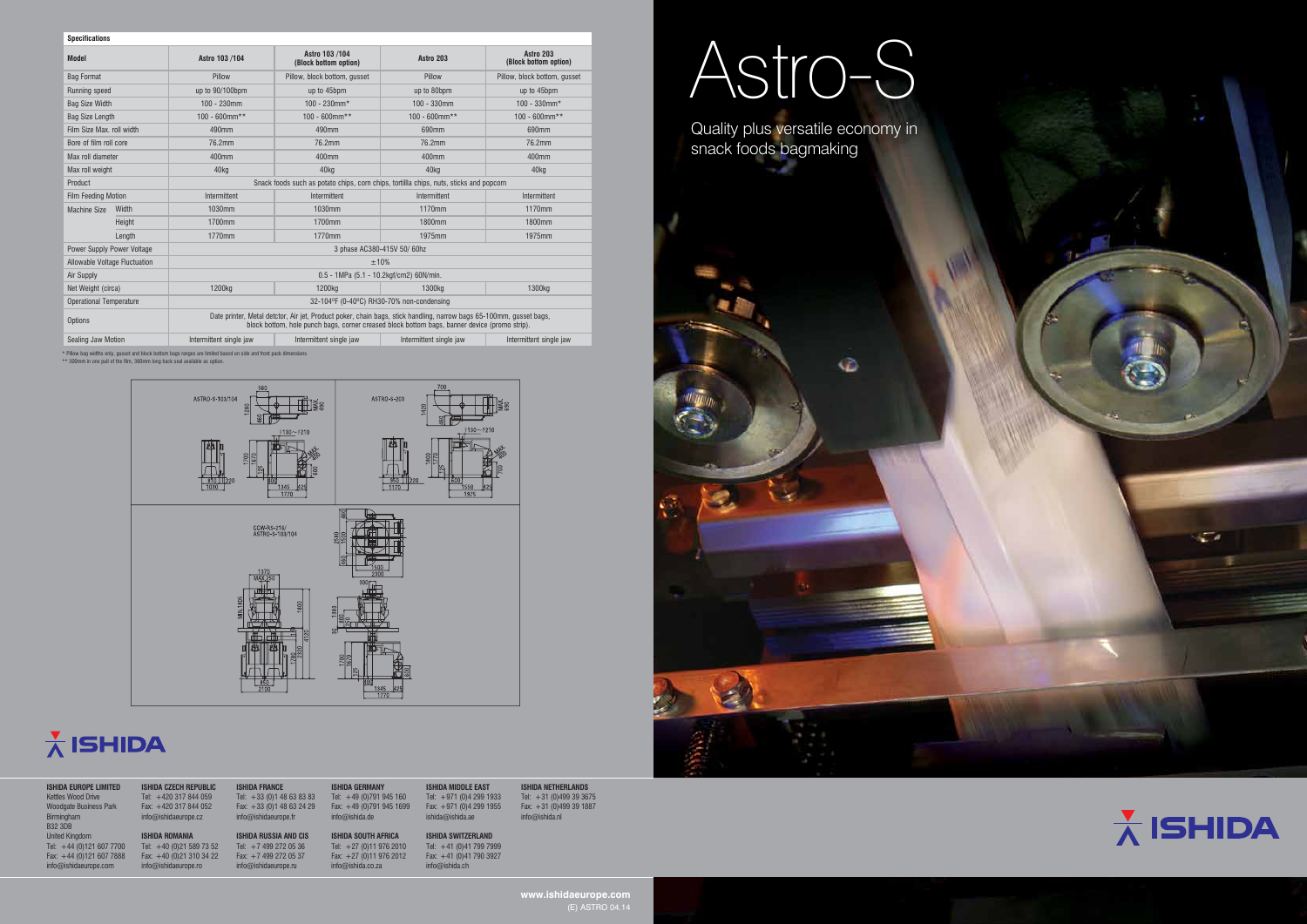Quality plus versatile economy in snack foods bagmaking



# Astro-S

**www.ishidaeurope.com**

| <b>ISHIDA EUROPE LIMITED</b><br>Kettles Wood Drive<br><b>Woodgate Business Park</b><br>Birmingham<br><b>B32 3DB</b> | <b>ISHIDA CZECH REPUBLIC</b><br>Tel: +420 317 844 059<br>Fax: +420 317 844 052<br>info@ishidaeurope.cz | <b>ISHIDA FRANCE</b><br>Tel: $+33$ (0)1 48 63 83 83<br>Fax: $+33$ (0)1 48 63 24 29<br>$info@$ ishidaeurope.fr | <b>ISHIDA GERMANY</b><br>Tel: $+49(0)791945160$<br>Fax: $+49$ (0)791 945 1699<br>info@ishida.de | <b>ISHIDA MIDDLE EAST</b><br>Tel: $+971$ (0)4 299 1933<br>Fax: $+971$ (0)4 299 1955<br>ishida@ishida.ae | <b>ISHIDA NETHERLANDS</b><br>Tel: $+31$ (0)499 39 3675<br>Fax: $+31$ (0)499 39 1887<br>info@ishida.nl |
|---------------------------------------------------------------------------------------------------------------------|--------------------------------------------------------------------------------------------------------|---------------------------------------------------------------------------------------------------------------|-------------------------------------------------------------------------------------------------|---------------------------------------------------------------------------------------------------------|-------------------------------------------------------------------------------------------------------|
| <b>United Kingdom</b>                                                                                               | <b>ISHIDA ROMANIA</b>                                                                                  | <b>ISHIDA RUSSIA AND CIS</b>                                                                                  | <b>ISHIDA SOUTH AFRICA</b>                                                                      | <b>ISHIDA SWITZERLAND</b>                                                                               |                                                                                                       |
| Tel: $+44$ (0)121 607 7700                                                                                          | Tel: $+40$ (0)21 589 73 52                                                                             | Tel: $+74992720536$                                                                                           | Tel: $+27(0)119762010$                                                                          | Tel: $+41$ (0)41 799 7999                                                                               |                                                                                                       |
| Fax: $+44$ (0)121 607 7888                                                                                          | Fax: $+40$ (0)21 310 34 22                                                                             | Fax: $+7$ 499 272 05 37                                                                                       | Fax: $+27$ (0)11 976 2012                                                                       | Fax: $+41$ (0)41 790 3927                                                                               |                                                                                                       |
| info@ishidaeurope.com                                                                                               | $info@$ ishidaeurope.ro                                                                                | info@ishidaeurope.nu                                                                                          | info@ishida.co.za                                                                               | info@ishida.ch                                                                                          |                                                                                                       |





| <b>Specifications</b>                                                                              |                                                                                                                                                                                                                      |                                           |                                         |                         |                                    |  |  |  |
|----------------------------------------------------------------------------------------------------|----------------------------------------------------------------------------------------------------------------------------------------------------------------------------------------------------------------------|-------------------------------------------|-----------------------------------------|-------------------------|------------------------------------|--|--|--|
| <b>Model</b>                                                                                       |                                                                                                                                                                                                                      | Astro 103 /104                            | Astro 103 /104<br>(Block bottom option) | Astro 203               | Astro 203<br>(Block bottom option) |  |  |  |
| <b>Bag Format</b>                                                                                  |                                                                                                                                                                                                                      | Pillow                                    | Pillow, block bottom, gusset            | Pillow                  | Pillow, block bottom, gusset       |  |  |  |
| Running speed                                                                                      |                                                                                                                                                                                                                      | up to 90/100bpm                           | up to 45bpm                             | up to 80bpm             | up to 45bpm                        |  |  |  |
| <b>Bag Size Width</b>                                                                              |                                                                                                                                                                                                                      | $100 - 230$ mm                            | $100 - 230$ mm*                         | $100 - 330$ mm          | $100 - 330$ mm*                    |  |  |  |
| <b>Bag Size Length</b>                                                                             |                                                                                                                                                                                                                      | $100 - 600$ mm**                          | $100 - 600$ mm**                        | $100 - 600$ mm**        | $100 - 600$ mm**                   |  |  |  |
| Film Size Max, roll width                                                                          |                                                                                                                                                                                                                      | 490mm                                     | 490mm                                   | 690mm                   | 690mm                              |  |  |  |
| Bore of film roll core                                                                             |                                                                                                                                                                                                                      | 76.2mm                                    | 76.2mm                                  | 76.2mm                  | 76.2mm                             |  |  |  |
| Max roll diameter                                                                                  |                                                                                                                                                                                                                      | 400mm                                     | 400mm                                   | 400 <sub>mm</sub>       | 400mm                              |  |  |  |
| Max roll weight                                                                                    |                                                                                                                                                                                                                      | 40kg                                      | 40ka                                    | 40kg                    | 40kg                               |  |  |  |
| Product<br>Snack foods such as potato chips, corn chips, tortillla chips, nuts, sticks and popcorn |                                                                                                                                                                                                                      |                                           |                                         |                         |                                    |  |  |  |
| <b>Film Feeding Motion</b>                                                                         |                                                                                                                                                                                                                      | Intermittent                              | Intermittent                            | Intermittent            | Intermittent                       |  |  |  |
| <b>Machine Size</b>                                                                                | Width                                                                                                                                                                                                                | 1030mm                                    | 1030mm                                  | 1170mm                  | 1170mm                             |  |  |  |
|                                                                                                    | Height                                                                                                                                                                                                               | 1700mm                                    | 1700mm                                  | 1800mm                  | 1800mm                             |  |  |  |
|                                                                                                    | Length                                                                                                                                                                                                               | 1770mm                                    | 1770mm                                  | 1975mm                  | 1975mm                             |  |  |  |
| Power Supply Power Voltage                                                                         |                                                                                                                                                                                                                      | 3 phase AC380-415V 50/60hz                |                                         |                         |                                    |  |  |  |
| Allowable Voltage Fluctuation                                                                      |                                                                                                                                                                                                                      | ±10%                                      |                                         |                         |                                    |  |  |  |
| Air Supply                                                                                         |                                                                                                                                                                                                                      | 0.5 - 1MPa (5.1 - 10.2kgf/cm2) 60N/min.   |                                         |                         |                                    |  |  |  |
| Net Weight (circa)                                                                                 |                                                                                                                                                                                                                      | 1200 <sub>kg</sub>                        | 1200 <sub>kg</sub>                      | 1300kg                  | 1300 <sub>kg</sub>                 |  |  |  |
| <b>Operational Temperature</b>                                                                     |                                                                                                                                                                                                                      | 32-104°F (0-40°C) RH30-70% non-condensing |                                         |                         |                                    |  |  |  |
| Options                                                                                            | Date printer, Metal detctor, Air jet, Product poker, chain bags, stick handling, narrow bags 65-100mm, gusset bags,<br>block bottom, hole punch bags, corner creased block bottom bags, banner device (promo strip). |                                           |                                         |                         |                                    |  |  |  |
| Sealing Jaw Motion                                                                                 |                                                                                                                                                                                                                      | Intermittent single jaw                   | Intermittent single jaw                 | Intermittent single jaw | Intermittent single jaw            |  |  |  |

\* Pillow bag widths only, gusset and block bottom bags ranges are limited based on side and front pack dimensions \*\* 300mm in one pull of the film, 360mm long back seal available as option.



### $\frac{1}{\Lambda}$  ISHIDA